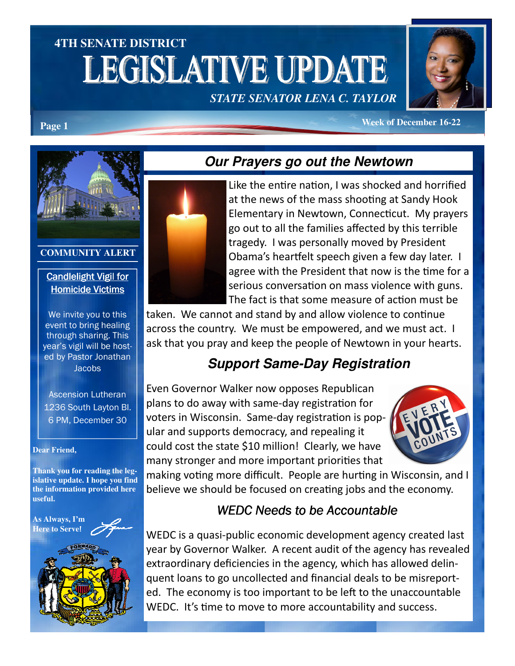# **4TH SENATE DISTRICT**  LEGISLATIVE UPDATE *STATE SENATOR LENA C. TAYLOR*



**Page 1** *Week of December 16-22* 



#### **COMMUNITY ALERT**

#### Candlelight Vigil for **Homicide Victims**

We invite you to this event to bring healing through sharing. This year's vigil will be hosted by Pastor Jonathan **Jacobs** 

Ascension Lutheran 1236 South Layton Bl. 6 PM, December 30

#### **Dear Friend,**

**Thank you for reading the legislative update. I hope you find the information provided here useful.** 





### **Our Prayers go out the Newtown**



Like the entire nation, I was shocked and horrified at the news of the mass shooting at Sandy Hook Elementary in Newtown, Connecticut. My prayers go out to all the families affected by this terrible tragedy. I was personally moved by President Obama's heartfelt speech given a few day later. I agree with the President that now is the time for a serious conversation on mass violence with guns. The fact is that some measure of action must be

taken. We cannot and stand by and allow violence to continue across the country. We must be empowered, and we must act. I ask that you pray and keep the people of Newtown in your hearts.

## **Support Same-Day Registration**

Even Governor Walker now opposes Republican plans to do away with same-day registration for voters in Wisconsin. Same-day registration is popular and supports democracy, and repealing it could cost the state \$10 million! Clearly, we have many stronger and more important priorities that



making voting more difficult. People are hurting in Wisconsin, and I believe we should be focused on creating jobs and the economy.

### WEDC Needs to be Accountable

WEDC is a quasi-public economic development agency created last year by Governor Walker. A recent audit of the agency has revealed extraordinary deficiencies in the agency, which has allowed delinquent loans to go uncollected and financial deals to be misreported. The economy is too important to be left to the unaccountable WEDC. It's time to move to more accountability and success.